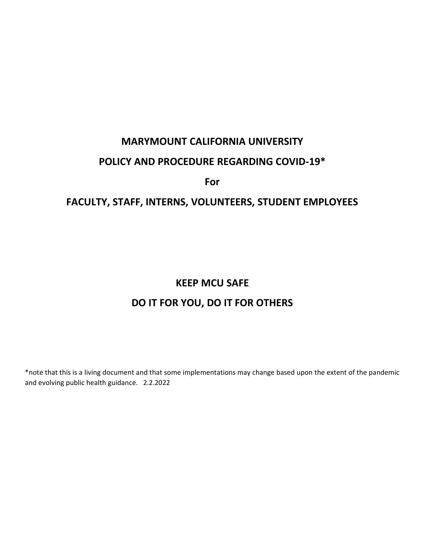# **MARYMOUNT CALIFORNIA UNIVERSITY**

## **POLICY AND PROCEDURE REGARDING COVID-19\***

**For**

## **FACULTY, STAFF, INTERNS, VOLUNTEERS, STUDENT EMPLOYEES**

## **KEEP MCU SAFE**

# **DO IT FOR YOU, DO IT FOR OTHERS**

\*note that this is a living document and that some implementations may change based upon the extent of the pandemic and evolving public health guidance. 2.2.2022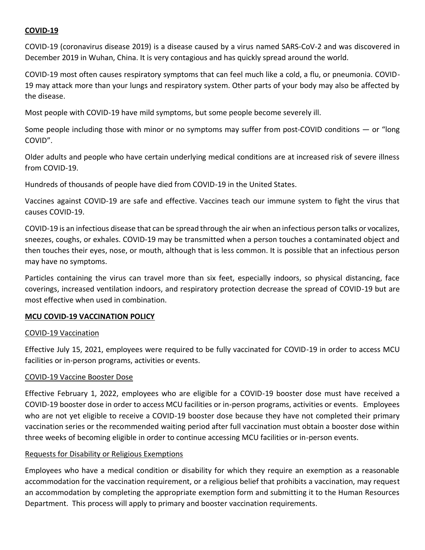#### **COVID-19**

COVID-19 (coronavirus disease 2019) is a disease caused by a virus named SARS-CoV-2 and was discovered in December 2019 in Wuhan, China. It is very contagious and has quickly spread around the world.

COVID-19 most often causes respiratory symptoms that can feel much like a cold, a flu, or pneumonia. COVID-19 may attack more than your lungs and respiratory system. Other parts of your body may also be affected by the disease.

Most people with COVID-19 have mild symptoms, but some people become severely ill.

Some people including those with minor or no symptoms may suffer from post-COVID conditions — or "long COVID".

Older adults and people who have certain underlying medical conditions are at increased risk of severe illness from COVID-19.

Hundreds of thousands of people have died from COVID-19 in the United States.

Vaccines against COVID-19 are safe and effective. Vaccines teach our immune system to fight the virus that causes COVID-19.

COVID-19 is an infectious disease that can be spread through the air when an infectious person talks or vocalizes, sneezes, coughs, or exhales. COVID-19 may be transmitted when a person touches a contaminated object and then touches their eyes, nose, or mouth, although that is less common. It is possible that an infectious person may have no symptoms.

Particles containing the virus can travel more than six feet, especially indoors, so physical distancing, face coverings, increased ventilation indoors, and respiratory protection decrease the spread of COVID-19 but are most effective when used in combination.

#### **MCU COVID-19 VACCINATION POLICY**

#### COVID-19 Vaccination

Effective July 15, 2021, employees were required to be fully vaccinated for COVID-19 in order to access MCU facilities or in-person programs, activities or events.

#### COVID-19 Vaccine Booster Dose

Effective February 1, 2022, employees who are eligible for a COVID-19 booster dose must have received a COVID-19 booster dose in order to access MCU facilities or in-person programs, activities or events. Employees who are not yet eligible to receive a COVID-19 booster dose because they have not completed their primary vaccination series or the recommended waiting period after full vaccination must obtain a booster dose within three weeks of becoming eligible in order to continue accessing MCU facilities or in-person events.

#### Requests for Disability or Religious Exemptions

Employees who have a medical condition or disability for which they require an exemption as a reasonable accommodation for the vaccination requirement, or a religious belief that prohibits a vaccination, may request an accommodation by completing the appropriate exemption form and submitting it to the Human Resources Department. This process will apply to primary and booster vaccination requirements.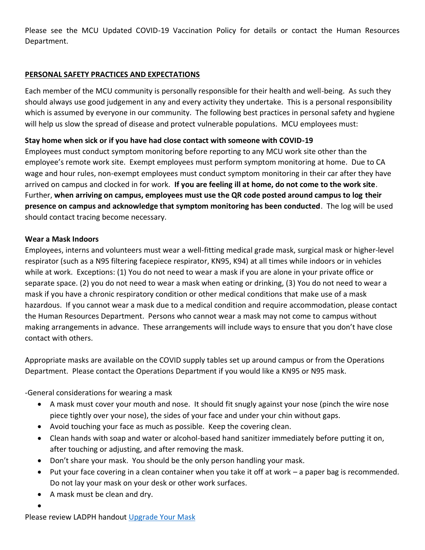Please see the MCU Updated COVID-19 Vaccination Policy for details or contact the Human Resources Department.

## **PERSONAL SAFETY PRACTICES AND EXPECTATIONS**

Each member of the MCU community is personally responsible for their health and well-being. As such they should always use good judgement in any and every activity they undertake. This is a personal responsibility which is assumed by everyone in our community. The following best practices in personal safety and hygiene will help us slow the spread of disease and protect vulnerable populations. MCU employees must:

## **Stay home when sick or if you have had close contact with someone with COVID-19**

Employees must conduct symptom monitoring before reporting to any MCU work site other than the employee's remote work site. Exempt employees must perform symptom monitoring at home. Due to CA wage and hour rules, non-exempt employees must conduct symptom monitoring in their car after they have arrived on campus and clocked in for work. **If you are feeling ill at home, do not come to the work site**. Further, **when arriving on campus, employees must use the QR code posted around campus to log their presence on campus and acknowledge that symptom monitoring has been conducted**. The log will be used should contact tracing become necessary.

## **Wear a Mask Indoors**

Employees, interns and volunteers must wear a well-fitting medical grade mask, surgical mask or higher-level respirator (such as a N95 filtering facepiece respirator, KN95, K94) at all times while indoors or in vehicles while at work. Exceptions: (1) You do not need to wear a mask if you are alone in your private office or separate space. (2) you do not need to wear a mask when eating or drinking, (3) You do not need to wear a mask if you have a chronic respiratory condition or other medical conditions that make use of a mask hazardous. If you cannot wear a mask due to a medical condition and require accommodation, please contact the Human Resources Department. Persons who cannot wear a mask may not come to campus without making arrangements in advance. These arrangements will include ways to ensure that you don't have close contact with others.

Appropriate masks are available on the COVID supply tables set up around campus or from the Operations Department. Please contact the Operations Department if you would like a KN95 or N95 mask.

-General considerations for wearing a mask

- A mask must cover your mouth and nose. It should fit snugly against your nose (pinch the wire nose piece tightly over your nose), the sides of your face and under your chin without gaps.
- Avoid touching your face as much as possible. Keep the covering clean.
- Clean hands with soap and water or alcohol-based hand sanitizer immediately before putting it on, after touching or adjusting, and after removing the mask.
- Don't share your mask. You should be the only person handling your mask.
- Put your face covering in a clean container when you take it off at work a paper bag is recommended. Do not lay your mask on your desk or other work surfaces.
- A mask must be clean and dry.
- •

Please review LADPH handout [Upgrade Your Mask](http://publichealth.lacounty.gov/media/Coronavirus/docs/business/UpgradeMaskRequirement.pdf)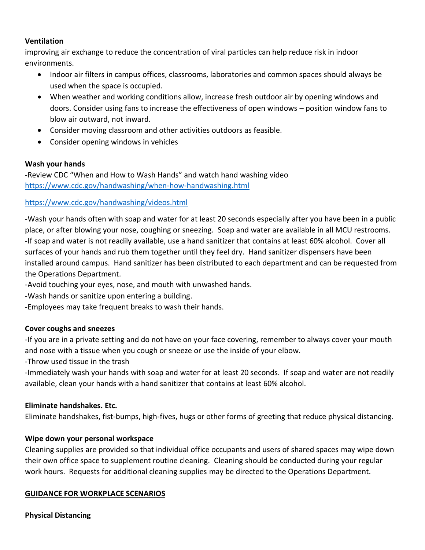#### **Ventilation**

improving air exchange to reduce the concentration of viral particles can help reduce risk in indoor environments.

- Indoor air filters in campus offices, classrooms, laboratories and common spaces should always be used when the space is occupied.
- When weather and working conditions allow, increase fresh outdoor air by opening windows and doors. Consider using fans to increase the effectiveness of open windows – position window fans to blow air outward, not inward.
- Consider moving classroom and other activities outdoors as feasible.
- Consider opening windows in vehicles

#### **Wash your hands**

-Review CDC "When and How to Wash Hands" and watch hand washing video <https://www.cdc.gov/handwashing/when-how-handwashing.html>

#### <https://www.cdc.gov/handwashing/videos.html>

-Wash your hands often with soap and water for at least 20 seconds especially after you have been in a public place, or after blowing your nose, coughing or sneezing. Soap and water are available in all MCU restrooms. -If soap and water is not readily available, use a hand sanitizer that contains at least 60% alcohol. Cover all surfaces of your hands and rub them together until they feel dry. Hand sanitizer dispensers have been installed around campus. Hand sanitizer has been distributed to each department and can be requested from the Operations Department.

-Avoid touching your eyes, nose, and mouth with unwashed hands.

-Wash hands or sanitize upon entering a building.

-Employees may take frequent breaks to wash their hands.

#### **Cover coughs and sneezes**

-If you are in a private setting and do not have on your face covering, remember to always cover your mouth and nose with a tissue when you cough or sneeze or use the inside of your elbow.

-Throw used tissue in the trash

-Immediately wash your hands with soap and water for at least 20 seconds. If soap and water are not readily available, clean your hands with a hand sanitizer that contains at least 60% alcohol.

#### **Eliminate handshakes. Etc.**

Eliminate handshakes, fist-bumps, high-fives, hugs or other forms of greeting that reduce physical distancing.

#### **Wipe down your personal workspace**

Cleaning supplies are provided so that individual office occupants and users of shared spaces may wipe down their own office space to supplement routine cleaning. Cleaning should be conducted during your regular work hours. Requests for additional cleaning supplies may be directed to the Operations Department.

#### **GUIDANCE FOR WORKPLACE SCENARIOS**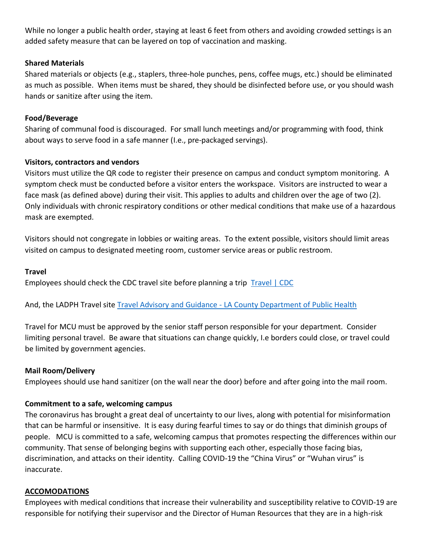While no longer a public health order, staying at least 6 feet from others and avoiding crowded settings is an added safety measure that can be layered on top of vaccination and masking.

## **Shared Materials**

Shared materials or objects (e.g., staplers, three-hole punches, pens, coffee mugs, etc.) should be eliminated as much as possible. When items must be shared, they should be disinfected before use, or you should wash hands or sanitize after using the item.

#### **Food/Beverage**

Sharing of communal food is discouraged. For small lunch meetings and/or programming with food, think about ways to serve food in a safe manner (I.e., pre-packaged servings).

#### **Visitors, contractors and vendors**

Visitors must utilize the QR code to register their presence on campus and conduct symptom monitoring. A symptom check must be conducted before a visitor enters the workspace. Visitors are instructed to wear a face mask (as defined above) during their visit. This applies to adults and children over the age of two (2). Only individuals with chronic respiratory conditions or other medical conditions that make use of a hazardous mask are exempted.

Visitors should not congregate in lobbies or waiting areas. To the extent possible, visitors should limit areas visited on campus to designated meeting room, customer service areas or public restroom.

#### **Travel**

Employees should check the CDC travel site before planning a trip [Travel | CDC](https://www.cdc.gov/coronavirus/2019-ncov/travelers/)

And, the LADPH Travel site Travel Advisory and Guidance - [LA County Department of Public Health](http://www.publichealth.lacounty.gov/media/coronavirus/traveladvisory.htm)

Travel for MCU must be approved by the senior staff person responsible for your department. Consider limiting personal travel. Be aware that situations can change quickly, I.e borders could close, or travel could be limited by government agencies.

## **Mail Room/Delivery**

Employees should use hand sanitizer (on the wall near the door) before and after going into the mail room.

## **Commitment to a safe, welcoming campus**

The coronavirus has brought a great deal of uncertainty to our lives, along with potential for misinformation that can be harmful or insensitive. It is easy during fearful times to say or do things that diminish groups of people. MCU is committed to a safe, welcoming campus that promotes respecting the differences within our community. That sense of belonging begins with supporting each other, especially those facing bias, discrimination, and attacks on their identity. Calling COVID-19 the "China Virus" or "Wuhan virus" is inaccurate.

#### **ACCOMODATIONS**

Employees with medical conditions that increase their vulnerability and susceptibility relative to COVID-19 are responsible for notifying their supervisor and the Director of Human Resources that they are in a high-risk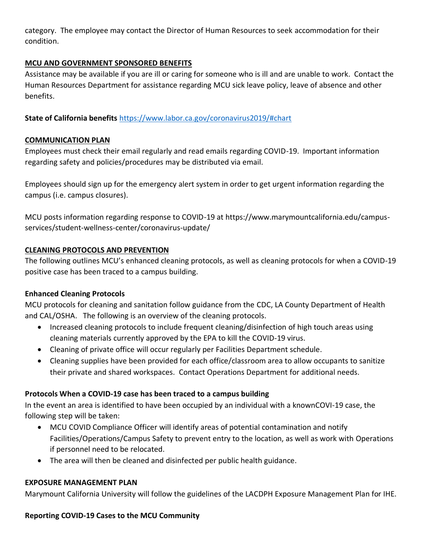category. The employee may contact the Director of Human Resources to seek accommodation for their condition.

## **MCU AND GOVERNMENT SPONSORED BENEFITS**

Assistance may be available if you are ill or caring for someone who is ill and are unable to work. Contact the Human Resources Department for assistance regarding MCU sick leave policy, leave of absence and other benefits.

**State of California benefits** <https://www.labor.ca.gov/coronavirus2019/#chart>

## **COMMUNICATION PLAN**

Employees must check their email regularly and read emails regarding COVID-19. Important information regarding safety and policies/procedures may be distributed via email.

Employees should sign up for the emergency alert system in order to get urgent information regarding the campus (i.e. campus closures).

MCU posts information regarding response to COVID-19 at https://www.marymountcalifornia.edu/campusservices/student-wellness-center/coronavirus-update/

## **CLEANING PROTOCOLS AND PREVENTION**

The following outlines MCU's enhanced cleaning protocols, as well as cleaning protocols for when a COVID-19 positive case has been traced to a campus building.

## **Enhanced Cleaning Protocols**

MCU protocols for cleaning and sanitation follow guidance from the CDC, LA County Department of Health and CAL/OSHA. The following is an overview of the cleaning protocols.

- Increased cleaning protocols to include frequent cleaning/disinfection of high touch areas using cleaning materials currently approved by the EPA to kill the COVID-19 virus.
- Cleaning of private office will occur regularly per Facilities Department schedule.
- Cleaning supplies have been provided for each office/classroom area to allow occupants to sanitize their private and shared workspaces. Contact Operations Department for additional needs.

## **Protocols When a COVID-19 case has been traced to a campus building**

In the event an area is identified to have been occupied by an individual with a knownCOVI-19 case, the following step will be taken:

- MCU COVID Compliance Officer will identify areas of potential contamination and notify Facilities/Operations/Campus Safety to prevent entry to the location, as well as work with Operations if personnel need to be relocated.
- The area will then be cleaned and disinfected per public health guidance.

## **EXPOSURE MANAGEMENT PLAN**

Marymount California University will follow the guidelines of the LACDPH Exposure Management Plan for IHE.

## **Reporting COVID-19 Cases to the MCU Community**